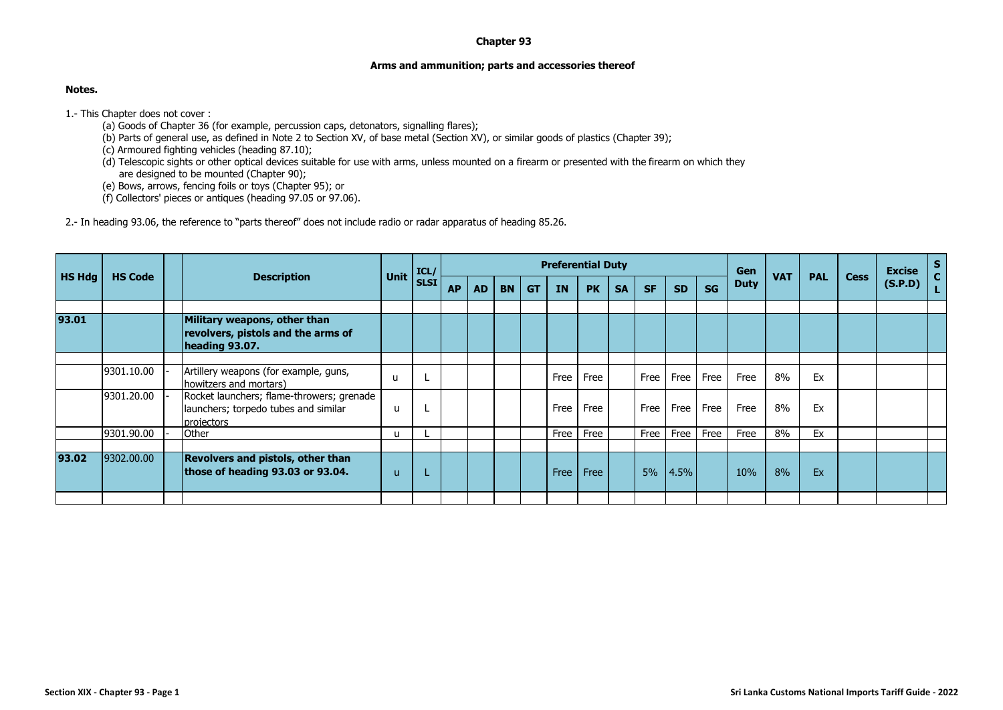## **Chapter 93**

## **Arms and ammunition; parts and accessories thereof**

## **Notes.**

1.- This Chapter does not cover :

- (a) Goods of Chapter 36 (for example, percussion caps, detonators, signalling flares);
- (b) Parts of general use, as defined in Note 2 to Section XV, of base metal (Section XV), or similar goods of plastics (Chapter 39);
- (c) Armoured fighting vehicles (heading 87.10);
- (d) Telescopic sights or other optical devices suitable for use with arms, unless mounted on a firearm or presented with the firearm on which they are designed to be mounted (Chapter 90);
- (e) Bows, arrows, fencing foils or toys (Chapter 95); or
- (f) Collectors' pieces or antiques (heading 97.05 or 97.06).

2.- In heading 93.06, the reference to "parts thereof" does not include radio or radar apparatus of heading 85.26.

|        |                |  | <b>Description</b>                                                                              |             | ICL/        |           |           |           |           |      | <b>Preferential Duty</b> |           |           |           |           | Gen         |            |            | <b>Cess</b> | <b>Excise</b><br>(S.P.D) | ${\sf s}$<br>$\mathbf{c}$ |
|--------|----------------|--|-------------------------------------------------------------------------------------------------|-------------|-------------|-----------|-----------|-----------|-----------|------|--------------------------|-----------|-----------|-----------|-----------|-------------|------------|------------|-------------|--------------------------|---------------------------|
| HS Hdg | <b>HS Code</b> |  |                                                                                                 | <b>Unit</b> | <b>SLSI</b> | <b>AP</b> | <b>AD</b> | <b>BN</b> | <b>GT</b> | IN   | <b>PK</b>                | <b>SA</b> | <b>SF</b> | <b>SD</b> | <b>SG</b> | <b>Duty</b> | <b>VAT</b> | <b>PAL</b> |             |                          |                           |
| 93.01  |                |  | Military weapons, other than<br>revolvers, pistols and the arms of<br>heading 93.07.            |             |             |           |           |           |           |      |                          |           |           |           |           |             |            |            |             |                          |                           |
|        | 9301.10.00     |  | Artillery weapons (for example, guns,<br>howitzers and mortars)                                 | u           |             |           |           |           |           | Free | Free                     |           | Free      | Free      | Free      | Free        | 8%         | Ex         |             |                          |                           |
|        | 9301.20.00     |  | Rocket launchers; flame-throwers; grenade<br>launchers; torpedo tubes and similar<br>projectors | u           |             |           |           |           |           | Free | Free                     |           | Free      | Free      | Free      | Free        | 8%         | Ex         |             |                          |                           |
|        | 9301.90.00     |  | Other                                                                                           | u           |             |           |           |           |           | Free | Free                     |           | Free      | Free      | Free      | Free        | 8%         | Ex         |             |                          |                           |
| 93.02  | 9302.00.00     |  | <b>Revolvers and pistols, other than</b><br>those of heading 93.03 or 93.04.                    | u           |             |           |           |           |           | Free | Free                     |           | 5%        | 4.5%      |           | 10%         | 8%         | Ex         |             |                          |                           |
|        |                |  |                                                                                                 |             |             |           |           |           |           |      |                          |           |           |           |           |             |            |            |             |                          |                           |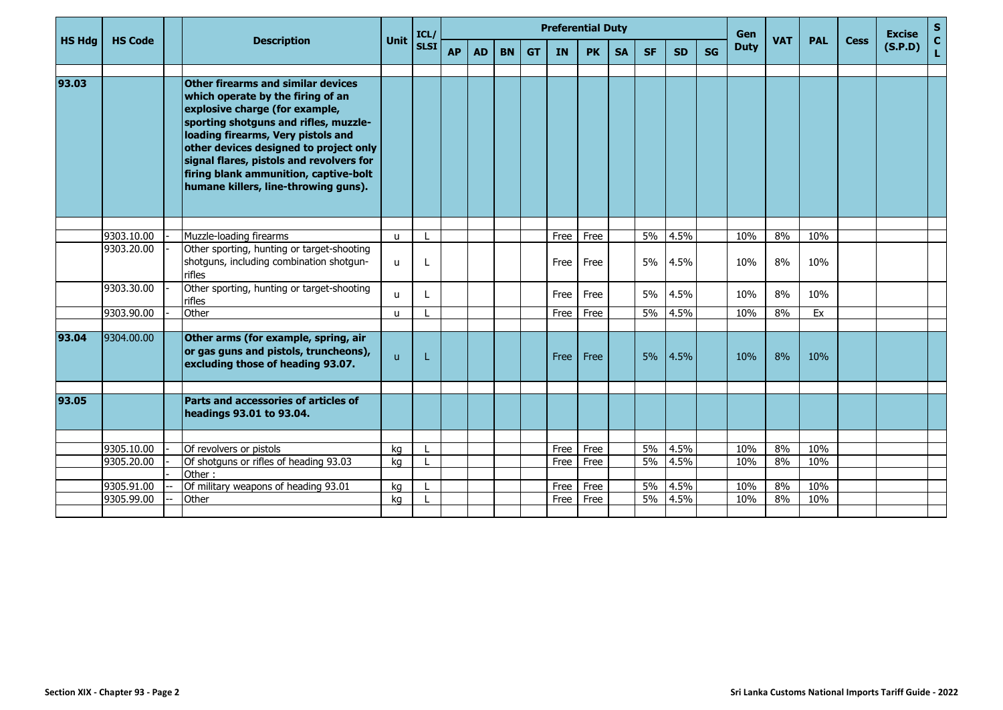| <b>HS Hdg</b> |                |  |                                                                                                                                                                                                                                                                                                                                                                 |              | ICL/        |           |           |           |           | <b>Preferential Duty</b> |           |           |           |           |           | <b>Gen</b>                |    |            |             | <b>Excise</b> | $S_{C}$ |
|---------------|----------------|--|-----------------------------------------------------------------------------------------------------------------------------------------------------------------------------------------------------------------------------------------------------------------------------------------------------------------------------------------------------------------|--------------|-------------|-----------|-----------|-----------|-----------|--------------------------|-----------|-----------|-----------|-----------|-----------|---------------------------|----|------------|-------------|---------------|---------|
|               | <b>HS Code</b> |  | <b>Description</b>                                                                                                                                                                                                                                                                                                                                              | <b>Unit</b>  | <b>SLSI</b> | <b>AP</b> | <b>AD</b> | <b>BN</b> | <b>GT</b> | IN                       | <b>PK</b> | <b>SA</b> | <b>SF</b> | <b>SD</b> | <b>SG</b> | <b>VAT</b><br><b>Duty</b> |    | <b>PAL</b> | <b>Cess</b> | (S.P.D)       | L.      |
|               |                |  |                                                                                                                                                                                                                                                                                                                                                                 |              |             |           |           |           |           |                          |           |           |           |           |           |                           |    |            |             |               |         |
| 93.03         |                |  | Other firearms and similar devices<br>which operate by the firing of an<br>explosive charge (for example,<br>sporting shotguns and rifles, muzzle-<br>loading firearms, Very pistols and<br>other devices designed to project only<br>signal flares, pistols and revolvers for<br>firing blank ammunition, captive-bolt<br>humane killers, line-throwing guns). |              |             |           |           |           |           |                          |           |           |           |           |           |                           |    |            |             |               |         |
|               |                |  |                                                                                                                                                                                                                                                                                                                                                                 |              |             |           |           |           |           |                          |           |           |           |           |           |                           |    |            |             |               |         |
|               | 9303.10.00     |  | Muzzle-loading firearms                                                                                                                                                                                                                                                                                                                                         | $\mathbf{u}$ |             |           |           |           |           | Free                     | Free      |           | $5\%$     | 4.5%      |           | 10%                       | 8% | 10%        |             |               |         |
|               | 9303.20.00     |  | Other sporting, hunting or target-shooting<br>shotguns, including combination shotgun-<br>rifles                                                                                                                                                                                                                                                                | u            |             |           |           |           |           | Free                     | Free      |           | 5%        | 4.5%      |           | 10%                       | 8% | 10%        |             |               |         |
|               | 9303.30.00     |  | Other sporting, hunting or target-shooting<br>rifles                                                                                                                                                                                                                                                                                                            | u            |             |           |           |           |           | Free                     | Free      |           | 5%        | 4.5%      |           | 10%                       | 8% | 10%        |             |               |         |
|               | 9303.90.00     |  | Other                                                                                                                                                                                                                                                                                                                                                           | u            |             |           |           |           |           | Free                     | Free      |           | 5%        | 4.5%      |           | 10%                       | 8% | Ex         |             |               |         |
| 93.04         | 9304.00.00     |  | Other arms (for example, spring, air<br>or gas guns and pistols, truncheons),<br>excluding those of heading 93.07.                                                                                                                                                                                                                                              | $\mathsf{u}$ |             |           |           |           |           | Free                     | Free      |           | 5%        | 4.5%      |           | 10%                       | 8% | 10%        |             |               |         |
|               |                |  |                                                                                                                                                                                                                                                                                                                                                                 |              |             |           |           |           |           |                          |           |           |           |           |           |                           |    |            |             |               |         |
| 93.05         |                |  | Parts and accessories of articles of<br>headings 93.01 to 93.04.                                                                                                                                                                                                                                                                                                |              |             |           |           |           |           |                          |           |           |           |           |           |                           |    |            |             |               |         |
|               |                |  |                                                                                                                                                                                                                                                                                                                                                                 |              |             |           |           |           |           |                          |           |           |           |           |           |                           |    |            |             |               |         |
|               | 9305.10.00     |  | Of revolvers or pistols                                                                                                                                                                                                                                                                                                                                         | kg           |             |           |           |           |           | Free                     | Free      |           | 5%        | 4.5%      |           | 10%                       | 8% | 10%        |             |               |         |
|               | 9305.20.00     |  | Of shotguns or rifles of heading 93.03                                                                                                                                                                                                                                                                                                                          | kg           |             |           |           |           |           | Free                     | Free      |           | 5%        | 4.5%      |           | 10%                       | 8% | 10%        |             |               |         |
|               |                |  | Other:                                                                                                                                                                                                                                                                                                                                                          |              |             |           |           |           |           |                          |           |           |           |           |           |                           |    |            |             |               |         |
|               | 9305.91.00     |  | Of military weapons of heading 93.01                                                                                                                                                                                                                                                                                                                            | kg           |             |           |           |           |           | Free                     | Free      |           | 5%        | 4.5%      |           | 10%                       | 8% | 10%        |             |               |         |
|               | 9305.99.00     |  | <b>Other</b>                                                                                                                                                                                                                                                                                                                                                    | kg           |             |           |           |           |           | Free                     | Free      |           | 5%        | 4.5%      |           | 10%                       | 8% | 10%        |             |               |         |